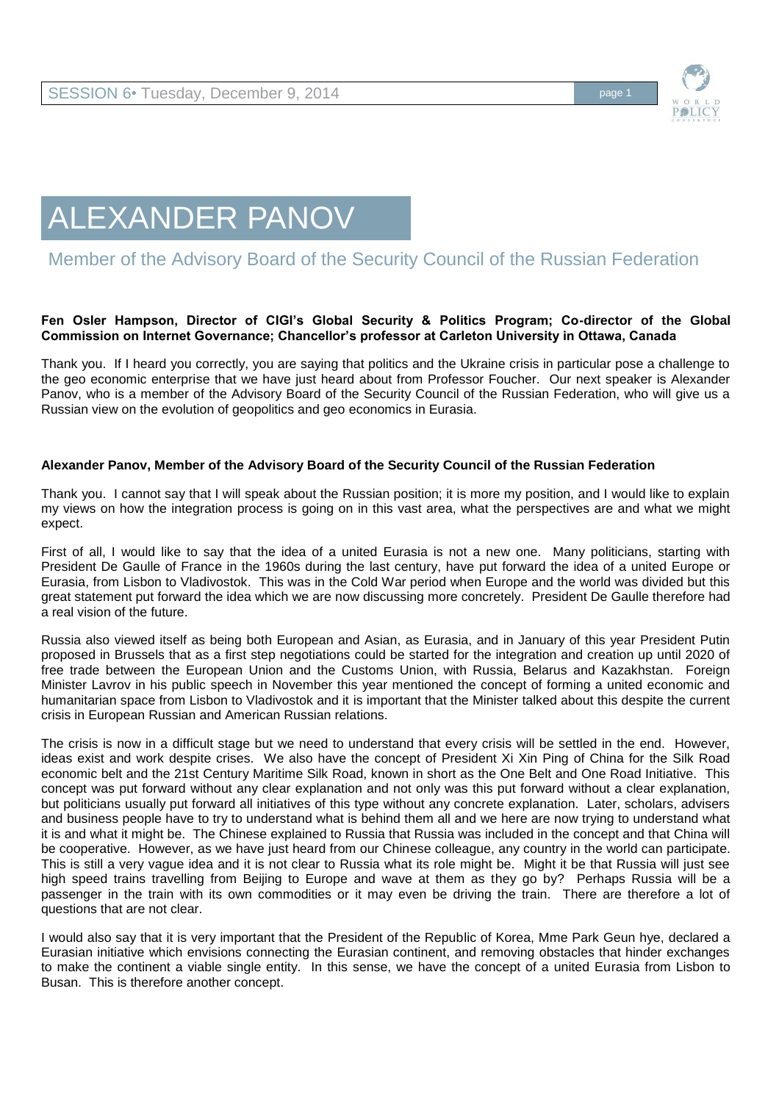

## ALEXANDER PANOV

## Member of the Advisory Board of the Security Council of the Russian Federation

## **Fen Osler Hampson, Director of CIGI's Global Security & Politics Program; Co-director of the Global Commission on Internet Governance; Chancellor's professor at Carleton University in Ottawa, Canada**

Thank you. If I heard you correctly, you are saying that politics and the Ukraine crisis in particular pose a challenge to the geo economic enterprise that we have just heard about from Professor Foucher. Our next speaker is Alexander Panov, who is a member of the Advisory Board of the Security Council of the Russian Federation, who will give us a Russian view on the evolution of geopolitics and geo economics in Eurasia.

## **Alexander Panov, Member of the Advisory Board of the Security Council of the Russian Federation**

Thank you. I cannot say that I will speak about the Russian position; it is more my position, and I would like to explain my views on how the integration process is going on in this vast area, what the perspectives are and what we might expect.

First of all, I would like to say that the idea of a united Eurasia is not a new one. Many politicians, starting with President De Gaulle of France in the 1960s during the last century, have put forward the idea of a united Europe or Eurasia, from Lisbon to Vladivostok. This was in the Cold War period when Europe and the world was divided but this great statement put forward the idea which we are now discussing more concretely. President De Gaulle therefore had a real vision of the future.

Russia also viewed itself as being both European and Asian, as Eurasia, and in January of this year President Putin proposed in Brussels that as a first step negotiations could be started for the integration and creation up until 2020 of free trade between the European Union and the Customs Union, with Russia, Belarus and Kazakhstan. Foreign Minister Lavrov in his public speech in November this year mentioned the concept of forming a united economic and humanitarian space from Lisbon to Vladivostok and it is important that the Minister talked about this despite the current crisis in European Russian and American Russian relations.

The crisis is now in a difficult stage but we need to understand that every crisis will be settled in the end. However, ideas exist and work despite crises. We also have the concept of President Xi Xin Ping of China for the Silk Road economic belt and the 21st Century Maritime Silk Road, known in short as the One Belt and One Road Initiative. This concept was put forward without any clear explanation and not only was this put forward without a clear explanation, but politicians usually put forward all initiatives of this type without any concrete explanation. Later, scholars, advisers and business people have to try to understand what is behind them all and we here are now trying to understand what it is and what it might be. The Chinese explained to Russia that Russia was included in the concept and that China will be cooperative. However, as we have just heard from our Chinese colleague, any country in the world can participate. This is still a very vague idea and it is not clear to Russia what its role might be. Might it be that Russia will just see high speed trains travelling from Beijing to Europe and wave at them as they go by? Perhaps Russia will be a passenger in the train with its own commodities or it may even be driving the train. There are therefore a lot of questions that are not clear.

I would also say that it is very important that the President of the Republic of Korea, Mme Park Geun hye, declared a Eurasian initiative which envisions connecting the Eurasian continent, and removing obstacles that hinder exchanges to make the continent a viable single entity. In this sense, we have the concept of a united Eurasia from Lisbon to Busan. This is therefore another concept.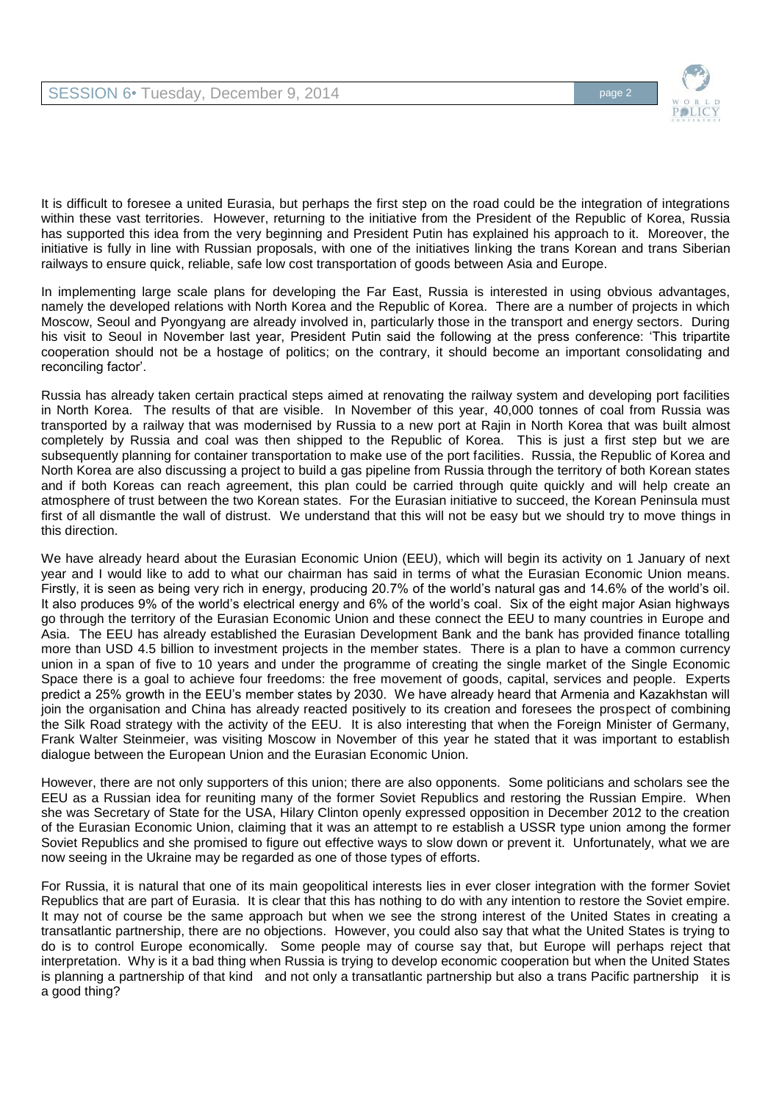

It is difficult to foresee a united Eurasia, but perhaps the first step on the road could be the integration of integrations within these vast territories. However, returning to the initiative from the President of the Republic of Korea, Russia has supported this idea from the very beginning and President Putin has explained his approach to it. Moreover, the initiative is fully in line with Russian proposals, with one of the initiatives linking the trans Korean and trans Siberian railways to ensure quick, reliable, safe low cost transportation of goods between Asia and Europe.

In implementing large scale plans for developing the Far East, Russia is interested in using obvious advantages, namely the developed relations with North Korea and the Republic of Korea. There are a number of projects in which Moscow, Seoul and Pyongyang are already involved in, particularly those in the transport and energy sectors. During his visit to Seoul in November last year, President Putin said the following at the press conference: 'This tripartite cooperation should not be a hostage of politics; on the contrary, it should become an important consolidating and reconciling factor'.

Russia has already taken certain practical steps aimed at renovating the railway system and developing port facilities in North Korea. The results of that are visible. In November of this year, 40,000 tonnes of coal from Russia was transported by a railway that was modernised by Russia to a new port at Rajin in North Korea that was built almost completely by Russia and coal was then shipped to the Republic of Korea. This is just a first step but we are subsequently planning for container transportation to make use of the port facilities. Russia, the Republic of Korea and North Korea are also discussing a project to build a gas pipeline from Russia through the territory of both Korean states and if both Koreas can reach agreement, this plan could be carried through quite quickly and will help create an atmosphere of trust between the two Korean states. For the Eurasian initiative to succeed, the Korean Peninsula must first of all dismantle the wall of distrust. We understand that this will not be easy but we should try to move things in this direction.

We have already heard about the Eurasian Economic Union (EEU), which will begin its activity on 1 January of next year and I would like to add to what our chairman has said in terms of what the Eurasian Economic Union means. Firstly, it is seen as being very rich in energy, producing 20.7% of the world's natural gas and 14.6% of the world's oil. It also produces 9% of the world's electrical energy and 6% of the world's coal. Six of the eight major Asian highways go through the territory of the Eurasian Economic Union and these connect the EEU to many countries in Europe and Asia. The EEU has already established the Eurasian Development Bank and the bank has provided finance totalling more than USD 4.5 billion to investment projects in the member states. There is a plan to have a common currency union in a span of five to 10 years and under the programme of creating the single market of the Single Economic Space there is a goal to achieve four freedoms: the free movement of goods, capital, services and people. Experts predict a 25% growth in the EEU's member states by 2030. We have already heard that Armenia and Kazakhstan will join the organisation and China has already reacted positively to its creation and foresees the prospect of combining the Silk Road strategy with the activity of the EEU. It is also interesting that when the Foreign Minister of Germany, Frank Walter Steinmeier, was visiting Moscow in November of this year he stated that it was important to establish dialogue between the European Union and the Eurasian Economic Union.

However, there are not only supporters of this union; there are also opponents. Some politicians and scholars see the EEU as a Russian idea for reuniting many of the former Soviet Republics and restoring the Russian Empire. When she was Secretary of State for the USA, Hilary Clinton openly expressed opposition in December 2012 to the creation of the Eurasian Economic Union, claiming that it was an attempt to re establish a USSR type union among the former Soviet Republics and she promised to figure out effective ways to slow down or prevent it. Unfortunately, what we are now seeing in the Ukraine may be regarded as one of those types of efforts.

For Russia, it is natural that one of its main geopolitical interests lies in ever closer integration with the former Soviet Republics that are part of Eurasia. It is clear that this has nothing to do with any intention to restore the Soviet empire. It may not of course be the same approach but when we see the strong interest of the United States in creating a transatlantic partnership, there are no objections. However, you could also say that what the United States is trying to do is to control Europe economically. Some people may of course say that, but Europe will perhaps reject that interpretation. Why is it a bad thing when Russia is trying to develop economic cooperation but when the United States is planning a partnership of that kind and not only a transatlantic partnership but also a trans Pacific partnership it is a good thing?